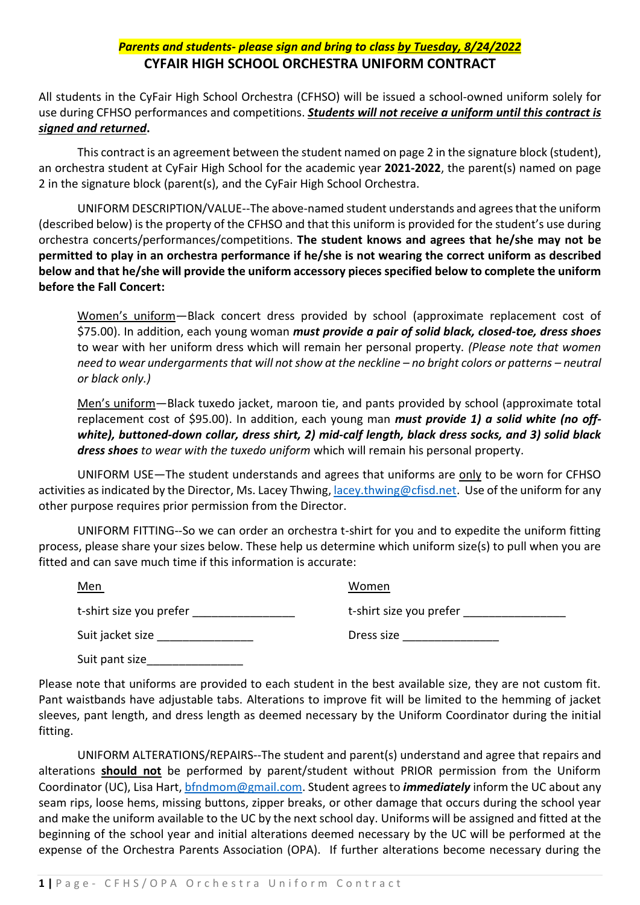## *Parents and students- please sign and bring to class by Tuesday, 8/24/2022* **CYFAIR HIGH SCHOOL ORCHESTRA UNIFORM CONTRACT**

All students in the CyFair High School Orchestra (CFHSO) will be issued a school-owned uniform solely for use during CFHSO performances and competitions. *Students will not receive a uniform until this contract is signed and returned***.** 

This contract is an agreement between the student named on page 2 in the signature block (student), an orchestra student at CyFair High School for the academic year **2021-2022**, the parent(s) named on page 2 in the signature block (parent(s), and the CyFair High School Orchestra.

UNIFORM DESCRIPTION/VALUE--The above-named student understands and agrees that the uniform (described below) is the property of the CFHSO and that this uniform is provided for the student's use during orchestra concerts/performances/competitions. **The student knows and agrees that he/she may not be permitted to play in an orchestra performance if he/she is not wearing the correct uniform as described below and that he/she will provide the uniform accessory pieces specified below to complete the uniform before the Fall Concert:**

Women's uniform—Black concert dress provided by school (approximate replacement cost of \$75.00). In addition, each young woman *must provide a pair of solid black, closed-toe, dress shoes*  to wear with her uniform dress which will remain her personal property. *(Please note that women need to wear undergarments that will not show at the neckline – no bright colors or patterns – neutral or black only.)*

Men's uniform—Black tuxedo jacket, maroon tie, and pants provided by school (approximate total replacement cost of \$95.00). In addition, each young man *must provide 1) a solid white (no offwhite), buttoned-down collar, dress shirt, 2) mid-calf length, black dress socks, and 3) solid black dress shoes to wear with the tuxedo uniform* which will remain his personal property.

UNIFORM USE—The student understands and agrees that uniforms are only to be worn for CFHSO activities as indicated by the Director, Ms. Lacey Thwing[, lacey.thwing@cfisd.net.](mailto:lacey.thwing@cfisd.net) Use of the uniform for any other purpose requires prior permission from the Director.

UNIFORM FITTING--So we can order an orchestra t-shirt for you and to expedite the uniform fitting process, please share your sizes below. These help us determine which uniform size(s) to pull when you are fitted and can save much time if this information is accurate:

| <u>Men</u>              | Women                   |
|-------------------------|-------------------------|
| t-shirt size you prefer | t-shirt size you prefer |
| Suit jacket size        | Dress size              |

Suit pant size

Please note that uniforms are provided to each student in the best available size, they are not custom fit. Pant waistbands have adjustable tabs. Alterations to improve fit will be limited to the hemming of jacket sleeves, pant length, and dress length as deemed necessary by the Uniform Coordinator during the initial fitting.

UNIFORM ALTERATIONS/REPAIRS--The student and parent(s) understand and agree that repairs and alterations **should not** be performed by parent/student without PRIOR permission from the Uniform Coordinator (UC), Lisa Hart, [bfndmom@gmail.com.](mailto:bfndmom@gmail.com) Student agrees to *immediately* inform the UC about any seam rips, loose hems, missing buttons, zipper breaks, or other damage that occurs during the school year and make the uniform available to the UC by the next school day. Uniforms will be assigned and fitted at the beginning of the school year and initial alterations deemed necessary by the UC will be performed at the expense of the Orchestra Parents Association (OPA). If further alterations become necessary during the